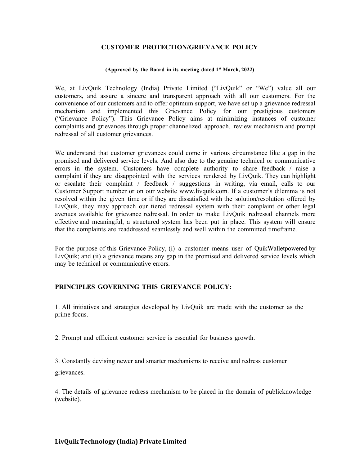### CUSTOMER PROTECTION/GRIEVANCE POLICY

#### (Approved by the Board in its meeting dated  $1<sup>st</sup> March, 2022$ )

We, at LivQuik Technology (India) Private Limited ("LivQuik" or "We") value all our customers, and assure a sincere and transparent approach with all our customers. For the convenience of our customers and to offer optimum support, we have set up a grievance redressal mechanism and implemented this Grievance Policy for our prestigious customers ("Grievance Policy"). This Grievance Policy aims at minimizing instances of customer complaints and grievances through proper channelized approach, review mechanism and prompt redressal of all customer grievances.

We understand that customer grievances could come in various circumstance like a gap in the promised and delivered service levels. And also due to the genuine technical or communicative errors in the system. Customers have complete authority to share feedback / raise a complaint if they are disappointed with the services rendered by LivQuik. They can highlight or escalate their complaint / feedback / suggestions in writing, via email, calls to our Customer Support number or on our website www.livquik.com. If a customer's dilemma is not resolved within the given time or if they are dissatisfied with the solution/resolution offered by LivQuik, they may approach our tiered redressal system with their complaint or other legal avenues available for grievance redressal. In order to make LivQuik redressal channels more effective and meaningful, a structured system has been put in place. This system will ensure that the complaints are readdressed seamlessly and well within the committed timeframe.

For the purpose of this Grievance Policy, (i) a customer means user of QuikWalletpowered by LivQuik; and (ii) a grievance means any gap in the promised and delivered service levels which may be technical or communicative errors.

### PRINCIPLES GOVERNING THIS GRIEVANCE POLICY:

1. All initiatives and strategies developed by LivQuik are made with the customer as the prime focus.

2. Prompt and efficient customer service is essential for business growth.

3. Constantly devising newer and smarter mechanisms to receive and redress customer grievances.

4. The details of grievance redress mechanism to be placed in the domain of public knowledge (website).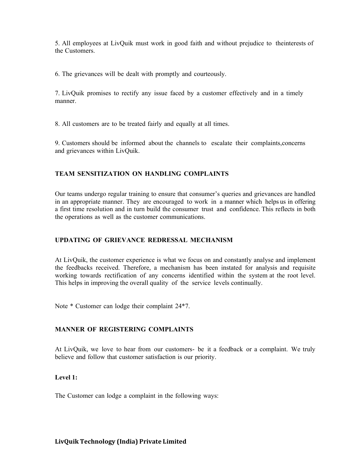5. All employees at LivQuik must work in good faith and without prejudice to the interests of the Customers.

6. The grievances will be dealt with promptly and courteously.

7. LivQuik promises to rectify any issue faced by a customer effectively and in a timely manner.

8. All customers are to be treated fairly and equally at all times.

9. Customers should be informed about the channels to escalate their complaints, concerns and grievances within LivQuik.

### TEAM SENSITIZATION ON HANDLING COMPLAINTS

Our teams undergo regular training to ensure that consumer's queries and grievances are handled in an appropriate manner. They are encouraged to work in a manner which helps us in offering a first time resolution and in turn build the consumer trust and confidence. This reflects in both the operations as well as the customer communications.

### UPDATING OF GRIEVANCE REDRESSAL MECHANISM

At LivQuik, the customer experience is what we focus on and constantly analyse and implement the feedbacks received. Therefore, a mechanism has been instated for analysis and requisite working towards rectification of any concerns identified within the system at the root level. This helps in improving the overall quality of the service levels continually.

Note \* Customer can lodge their complaint 24\*7.

### MANNER OF REGISTERING COMPLAINTS

At LivQuik, we love to hear from our customers- be it a feedback or a complaint. We truly believe and follow that customer satisfaction is our priority.

#### Level 1:

The Customer can lodge a complaint in the following ways: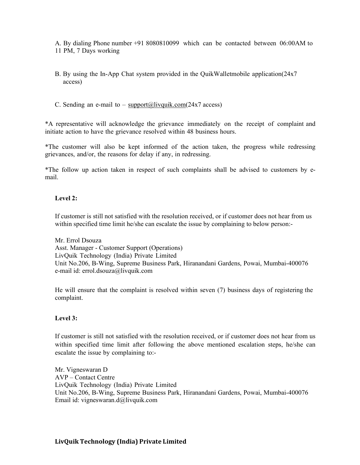A. By dialing Phone number +91 8080810099 which can be contacted between 06:00 AM to 11 PM, 7 Days working

- B. By using the In-App Chat system provided in the QuikWalletmobile application(24x7 access)
- C. Sending an e-mail to support@livquik.com( $24x7$  access)

\*A representative will acknowledge the grievance immediately on the receipt of complaint and initiate action to have the grievance resolved within 48 business hours.

\*The customer will also be kept informed of the action taken, the progress while redressing grievances, and/or, the reasons for delay if any, in redressing.

\*The follow up action taken in respect of such complaints shall be advised to customers by email.

### Level 2:

If customer is still not satisfied with the resolution received, or if customer does not hear from us within specified time limit he/she can escalate the issue by complaining to below person:-

Mr. Errol Dsouza Asst. Manager - Customer Support (Operations) LivQuik Technology (India) Private Limited Unit No.206, B-Wing, Supreme Business Park, Hiranandani Gardens, Powai, Mumbai- 400076 e-mail id: errol.dsouza@livquik.com

He will ensure that the complaint is resolved within seven (7) business days of registering the complaint.

#### Level 3:

If customer is still not satisfied with the resolution received, or if customer does not hear from us within specified time limit after following the above mentioned escalation steps, he/she can escalate the issue by complaining to:-

Mr. Vigneswaran D AVP – Contact Centre LivQuik Technology (India) Private Limited Unit No.206, B-Wing, Supreme Business Park, Hiranandani Gardens, Powai, Mumbai- 400076 Email id: vigneswaran.d@livquik.com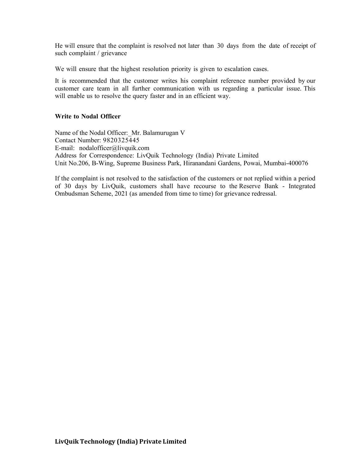He will ensure that the complaint is resolved not later than 30 days from the date of receipt of such complaint / grievance

We will ensure that the highest resolution priority is given to escalation cases.

It is recommended that the customer writes his complaint reference number provided by our customer care team in all further communication with us regarding a particular issue. This will enable us to resolve the query faster and in an efficient way.

### Write to Nodal Officer

Name of the Nodal Officer: Mr. Balamurugan V Contact Number: 9820325445 E-mail: nodalofficer@livquik.com Address for Correspondence: LivQuik Technology (India) Private Limited Unit No.206, B-Wing, Supreme Business Park, Hiranandani Gardens, Powai, Mumbai- 400076

If the complaint is not resolved to the satisfaction of the customers or not replied within a period of 30 days by LivQuik, customers shall have recourse to the Reserve Bank - Integrated Ombudsman Scheme, 2021 (as amended from time to time) for grievance redressal.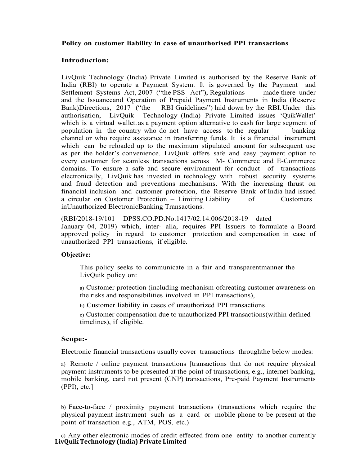### Policy on customer liability in case of unauthorised PPI transactions

### Introduction:

LivQuik Technology (India) Private Limited is authorised by the Reserve Bank of India (RBI) to operate a Payment System. It is governed by the Payment and Settlement Systems Act, 2007 ("the PSS Act"), Regulations made there under and the Issuance and Operation of Prepaid Payment Instruments in India (Reserve Bank) Directions, 2017 ("the RBI Guidelines") laid down by the RBI. Under this authorisation, LivQuik Technology (India) Private Limited issues 'QuikWallet' **Policy on customer liability in case of unauthorised PPI transactions**<br> **Introduction:**<br> **Introduction:**<br> **Introduction:** It is governed by the Reserve Bank of<br>
India (RBI) to operate a Payment System. It is governed by t population in the country who do not have access to the regular banking channel or who require assistance in transferring funds. It is a financial instrument which can be reloaded up to the maximum stipulated amount for subsequent use as per the holder's convenience. LivQuik offers safe and easy payment option to every customer for seamless transactions across M- Commerce and E-Commerce domains. To ensure a safe and secure environment for conduct of transactions electronically, LivQuik has invested in technology with robust security systems and fraud detection and preventions mechanisms. With the increasing thrust on financial inclusion and customer protection, the Reserve Bank of India had issued a circular on Customer Protection – Limiting Liability of Customers inUnauthorized ElectronicBanking Transactions.

(RBI/2018-19/101 DPSS.CO.PD.No.1417/02.14.006/2018-19 dated January 04, 2019) which, inter- alia, requires PPI Issuers to formulate a Board approved policy in regard to customer protection and compensation in case of unauthorized PPI transactions, if eligible.

### Objective:

This policy seeks to communicate in a fair and transparent manner the LivQuik policy on:

a) Customer protection (including mechanism of creating customer awareness on the risks and responsibilities involved in PPI transactions),

b) Customer liability in cases of unauthorized PPI transactions

c) Customer compensation due to unauthorized PPI transactions(within defined timelines), if eligible.

# Scope:-

Electronic financial transactions usually cover transactions throughthe below modes:

a) Remote / online payment transactions [transactions that do not require physical payment instruments to be presented at the point of transactions, e.g., internet banking, mobile banking, card not present (CNP) transactions, Pre-paid Payment Instruments (PPI), etc.]

b) Face-to-face / proximity payment transactions (transactions which require the physical payment instrument such as a card or mobile phone to be present at the point of transaction e.g., ATM, POS, etc.)

LivQuik Technology (India) Private Limited c) Any other electronic modes of credit effected from one entity to another currently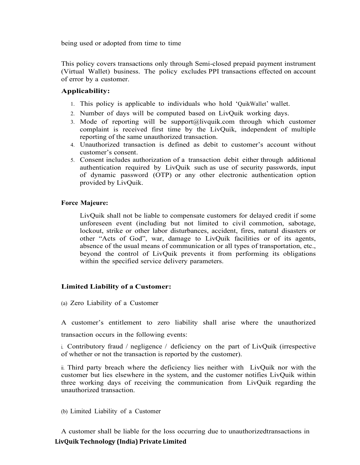being used or adopted from time to time

This policy covers transactions only through Semi-closed prepaid payment instrument (Virtual Wallet) business. The policy excludes PPI transactions effected on account of error by a customer.

# Applicability:

- 1. This policy is applicable to individuals who hold 'QuikWallet' wallet.
- 2. Number of days will be computed based on LivQuik working days.
- 3. Mode of reporting will be support@livquik.com through which customer complaint is received first time by the LivQuik, independent of multiple reporting of the same unauthorized transaction.
- 4. Unauthorized transaction is defined as debit to customer's account without customer's consent.
- 5. Consent includes authorization of a transaction debit either through additional authentication required by LivQuik such as use of security passwords, input of dynamic password (OTP) or any other electronic authentication option provided by LivQuik.

# Force Majeure:

LivQuik shall not be liable to compensate customers for delayed credit if some unforeseen event (including but not limited to civil commotion, sabotage, lockout, strike or other labor disturbances, accident, fires, natural disasters or other "Acts of God", war, damage to LivQuik facilities or of its agents, absence of the usual means of communication or all types of transportation, etc., beyond the control of LivQuik prevents it from performing its obligations within the specified service delivery parameters.

# Limited Liability of a Customer:

(a) Zero Liability of a Customer

A customer's entitlement to zero liability shall arise where the unauthorized transaction occurs in the following events:

i. Contributory fraud / negligence / deficiency on the part of LivQuik (irrespective of whether or not the transaction is reported by the customer).

ii. Third party breach where the deficiency lies neither with LivQuik nor with the customer but lies elsewhere in the system, and the customer notifies LivQuik within three working days of receiving the communication from LivQuik regarding the unauthorized transaction.

(b) Limited Liability of a Customer

LivQuik Technology (India) Private Limited A customer shall be liable for the loss occurring due to unauthorized transactions in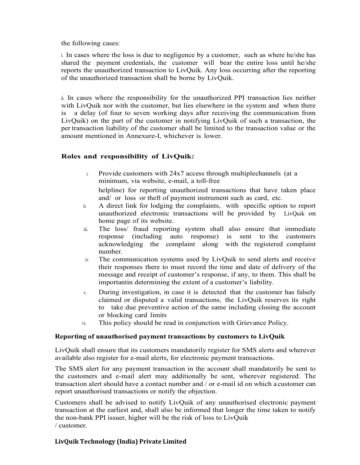the following cases:

i. In cases where the loss is due to negligence by a customer, such as where he/she has shared the payment credentials, the customer will bear the entire loss until he/she reports the unauthorized transaction to LivQuik. Any loss occurring after the reporting of the unauthorized transaction shall be borne by LivQuik.

ii. In cases where the responsibility for the unauthorized PPI transaction lies neither with LivQuik nor with the customer, but lies elsewhere in the system and when there is a delay (of four to seven working days after receiving the communication from LivQuik) on the part of the customer in notifying LivQuik of such a transaction, the per transaction liability of the customer shall be limited to the transaction value or the amount mentioned in Annexure-I, whichever is lower.

# Roles and responsibility of LivQuik:

i. Provide customers with  $24x7$  access through multiple channels (at a minimum, via website, e-mail, a toll-free

helpline) for reporting unauthorized transactions that have taken place and/ or loss or theft of payment instrument such as card, etc.

- ii. A direct link for lodging the complaints, with specific option to report unauthorized electronic transactions will be provided by LivQuik on home page of its website.
- iii. The loss/ fraud reporting system shall also ensure that immediate response (including auto response) is sent to the customers acknowledging the complaint along with the registered complaint number.
- iv. The communication systems used by LivQuik to send alerts and receive their responses there to must record the time and date of delivery of the message and receipt of customer's response, if any, to them. This shall be important in determining the extent of a customer's liability.
- v. During investigation, in case it is detected that the customer has falsely claimed or disputed a valid transactions, the LivQuik reserves its right to take due preventive action of the same including closing the account or blocking card limits
- vi. This policy should be read in conjunction with Grievance Policy.

### Reporting of unauthorised payment transactions by customers to LivQuik

LivQuik shall ensure that its customers mandatorily register for SMS alerts and wherever available also register for e-mail alerts, for electronic payment transactions.

The SMS alert for any payment transaction in the account shall mandatorily be sent to the customers and e-mail alert may additionally be sent, wherever registered. The transaction alert should have a contact number and / or e-mail id on which a customer can report unauthorised transactions or notify the objection.

Customers shall be advised to notify LivQuik of any unauthorised electronic payment transaction at the earliest and, shall also be informed that longer the time taken to notify the non-bank PPI issuer, higher will be the risk of loss to LivQuik / customer.

### LivQuik Technology (India) Private Limited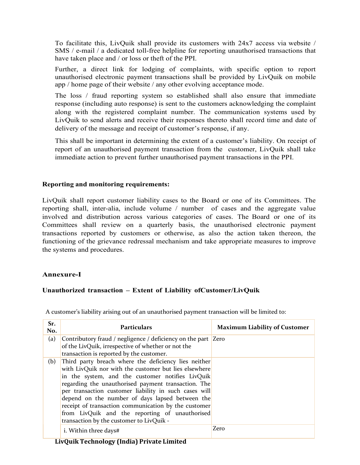To facilitate this, LivQuik shall provide its customers with  $24x7$  access via website / SMS / e-mail / a dedicated toll-free helpline for reporting unauthorised transactions that have taken place and / or loss or theft of the PPI.

Further, a direct link for lodging of complaints, with specific option to report unauthorised electronic payment transactions shall be provided by LivQuik on mobile app / home page of their website / any other evolving acceptance mode.

The loss / fraud reporting system so established shall also ensure that immediate response (including auto response) is sent to the customers acknowledging the complaint along with the registered complaint number. The communication systems used by LivQuik to send alerts and receive their responses thereto shall record time and date of delivery of the message and receipt of customer's response, if any.

This shall be important in determining the extent of a customer's liability. On receipt of report of an unauthorised payment transaction from the customer, LivQuik shall take immediate action to prevent further unauthorised payment transactions in the PPI.

### Reporting and monitoring requirements:

LivQuik shall report customer liability cases to the Board or one of its Committees. The reporting shall, inter-alia, include volume / number of cases and the aggregate value involved and distribution across various categories of cases. The Board or one of its Committees shall review on a quarterly basis, the unauthorised electronic payment transactions reported by customers or otherwise, as also the action taken thereon, the functioning of the grievance redressal mechanism and take appropriate measures to improve the systems and procedures.

# Annexure-I

# Unauthorized transaction – Extent of Liability of Customer/LivQuik

A customer's liability arising out of an unauthorised payment transaction will be limited to:

| Sr.<br>No. | <b>Particulars</b>                                                                                                  | <b>Maximum Liability of Customer</b> |
|------------|---------------------------------------------------------------------------------------------------------------------|--------------------------------------|
| (a)        | Contributory fraud / negligence / deficiency on the part Zero<br>of the LivQuik, irrespective of whether or not the |                                      |
|            | transaction is reported by the customer.                                                                            |                                      |
| (b)        | Third party breach where the deficiency lies neither                                                                |                                      |
|            | with LivQuik nor with the customer but lies elsewhere                                                               |                                      |
|            | in the system, and the customer notifies LivQuik                                                                    |                                      |
|            | regarding the unauthorised payment transaction. The                                                                 |                                      |
|            | per transaction customer liability in such cases will                                                               |                                      |
|            | depend on the number of days lapsed between the                                                                     |                                      |
|            | receipt of transaction communication by the customer                                                                |                                      |
|            | from LivQuik and the reporting of unauthorised                                                                      |                                      |
|            | transaction by the customer to LivQuik -                                                                            |                                      |
|            | i. Within three days#                                                                                               | Zero                                 |

### LivQuik Technology (India) Private Limited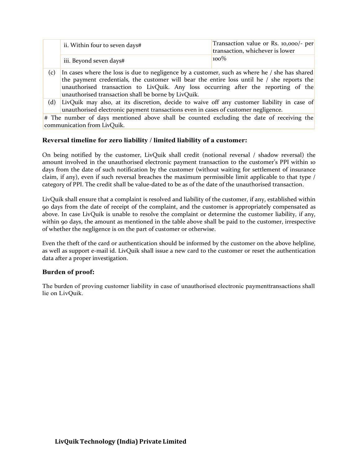|  | ii. Within four to seven days# | Transaction value or Rs. 10,000/- per<br>transaction, whichever is lower |
|--|--------------------------------|--------------------------------------------------------------------------|
|  | iii. Beyond seven days#        | $100\%$                                                                  |

- (c) In cases where the loss is due to negligence by a customer, such as where he / she has shared the payment credentials, the customer will bear the entire loss until he / she reports the unauthorised transaction to LivQuik. Any loss occurring after the reporting of the unauthorised transaction shall be borne by LivQuik.
- (d) LivQuik may also, at its discretion, decide to waive off any customer liability in case of unauthorised electronic payment transactions even in cases of customer negligence.

# The number of days mentioned above shall be counted excluding the date of receiving the communication from LivQuik.

### Reversal timeline for zero liability / limited liability of a customer:

On being notified by the customer, LivQuik shall credit (notional reversal / shadow reversal) the amount involved in the unauthorised electronic payment transaction to the customer's PPI within 10 days from the date of such notification by the customer (without waiting for settlement of insurance claim, if any), even if such reversal breaches the maximum permissible limit applicable to that type / category of PPI. The credit shall be value-dated to be as of the date of the unauthorised transaction.

LivQuik shall ensure that a complaint is resolved and liability of the customer, if any, established within 90 days from the date of receipt of the complaint, and the customer is appropriately compensated as above. In case LivQuik is unable to resolve the complaint or determine the customer liability, if any, within 90 days, the amount as mentioned in the table above shall be paid to the customer, irrespective of whether the negligence is on the part of customer or otherwise.

Even the theft of the card or authentication should be informed by the customer on the above helpline, as well as support e-mail id. LivQuik shall issue a new card to the customer or reset the authentication data after a proper investigation.

# Burden of proof:

The burden of proving customer liability in case of unauthorised electronic payment transactions shall lie on LivQuik.